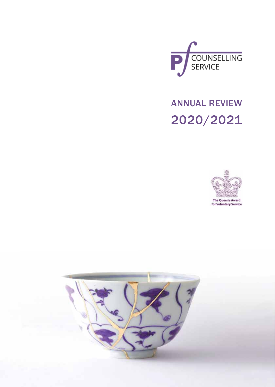

ANNUAL REVIEW 2020/2021



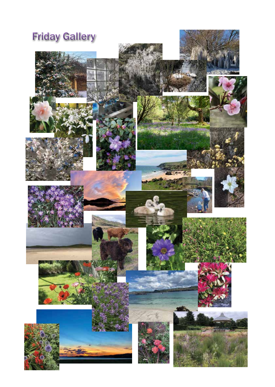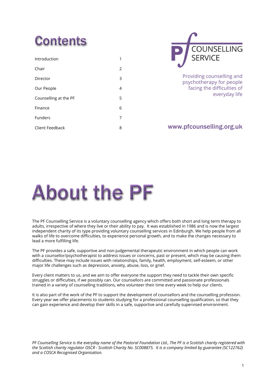### Contents

| Introduction          |   |
|-----------------------|---|
| Chair                 | 2 |
| Director              | 3 |
| Our People            | 4 |
| Counselling at the PF | 5 |
| Finance               | 6 |
| Funders               | 7 |
| Client Feedback       | 8 |



Providing counselling and psychotherapy for people facing the difficulties of everyday life

#### www.pfcounselling.org.uk

### About the PF

The PF Counselling Service is a voluntary counselling agency which offers both short and long term therapy to adults, irrespective of where they live or their ability to pay. It was established in 1986 and is now the largest independent charity of its type providing voluntary counselling services in Edinburgh. We help people from all walks of life to overcome difficulties, to experience personal growth, and to make the changes necessary to lead a more fulfilling life.

The PF provides a safe, supportive and non-judgemental therapeutic environment in which people can work with a counsellor/psychotherapist to address issues or concerns, past or present, which may be causing them difficulties. These may include issues with relationships, family, health, employment, self-esteem, or other major life challenges such as depression, anxiety, abuse, loss, or grief.

Every client matters to us, and we aim to offer everyone the support they need to tackle their own specific struggles or difficulties, if we possibly can. Our counsellors are committed and passionate professionals trained in a variety of counselling traditions, who volunteer their time every week to help our clients.

It is also part of the work of the PF to support the development of counsellors and the counselling profession. Every year we offer placements to students studying for a professional counselling qualification, so that they can gain experience and develop their skills in a safe, supportive and carefully supervised environment.

*PF Counselling Service is the everyday name of the Pastoral Foundation Ltd., The PF is a Scottish charity registered with the Scottish charity regulator OSCR - Scottish Charity No. SC008875. It is a company limited by guarantee (SC122762) and a COSCA Recognised Organisation.*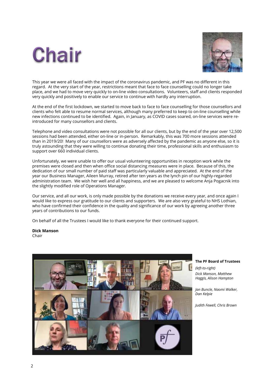### Chair



This year we were all faced with the impact of the coronavirus pandemic, and PF was no different in this regard. At the very start of the year, restrictions meant that face to face counselling could no longer take place, and we had to move very quickly to on-line video consultations. Volunteers, staff and clients responded very quickly and positively to enable our service to continue with hardly any interruption.

At the end of the first lockdown, we started to move back to face to face counselling for those counsellors and clients who felt able to resume normal services, although many preferred to keep to on-line counselling while new infections continued to be identified. Again, in January, as COVID cases soared, on-line services were reintroduced for many counsellors and clients.

Telephone and video consultations were not possible for all our clients, but by the end of the year over 12,500 sessions had been attended, either on-line or in-person. Remarkably, this was 700 more sessions attended than in 2019/20! Many of our counsellors were as adversely affected by the pandemic as anyone else, so it is truly astounding that they were willing to continue donating their time, professional skills and enthusiasm to support over 660 individual clients.

Unfortunately, we were unable to offer our usual volunteering opportunities in reception work while the premises were closed and then when office social distancing measures were in place. Because of this, the dedication of our small number of paid staff was particularly valuable and appreciated. At the end of the year our Business Manager, Aileen Murray, retired after ten years as the lynch pin of our highly-regarded administration team. We wish her well and all happiness, and we are pleased to welcome Anja Pogacnik into the slightly modified role of Operations Manager.

Our service, and all our work, is only made possible by the donations we receive every year, and once again I would like to express our gratitude to our clients and supporters. We are also very grateful to NHS Lothian, who have confirmed their confidence in the quality and significance of our work by agreeing another three years of contributions to our funds.

On behalf of all the Trustees I would like to thank everyone for their continued support.

**Dick Manson** Chair



**The PF Board of Trustees**

*(left-to-right) Dick Manson, Matthew Haggis, Alison Hampton* 

*Jan Buncle, Naomi Walker, Dan Kelpie*

*Judith Fewell, Chris Brown*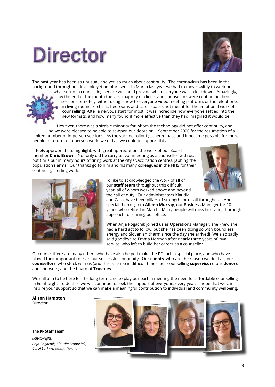### Director



The past year has been so unusual, and yet, so much about continuity. The coronavirus has been in the background throughout, invisible yet omnipresent. In March last year we had to move swiftly to work out



what sort of a counselling service we could provide when everyone was in lockdown. Amazingly, by the end of the month the vast majority of clients and counsellors were continuing their sessions remotely, either using a new-to-everyone video meeting platform, or the telephone, in living rooms, kitchens, bedrooms and cars - spaces not meant for the emotional work of counselling! After a nervous start for most, it was incredible how everyone settled into the new formats, and how many found it more effective than they had imagined it would be.

However, there was a sizable minority for whom the technology did not offer continuity, and so we were pleased to be able to re-open our doors on 1 September 2020 for the resumption of a limited number of in-person sessions. As the vaccine rollout gathered pace and it became possible for more people to return to in-person work, we did all we could to support this.

It feels appropriate to highlight, with great appreciation, the work of our Board member **Chris Brown**. Not only did he carry on volunteering as a counsellor with us, but Chris put in many hours of tiring work at the city's vaccination centres, jabbing the population's arms. Our thanks go to him and his many colleagues in the NHS for their continuing sterling work.





I'd like to acknowledged the work of all of our **staff team** throughout this difficult year, all of whom worked above and beyond the call of duty. Our administrators Klaudia

and Carol have been pillars of strength for us all throughout. And special thanks go to **Aileen Murray**, our Business Manager for 10 years, who retired in March. Many people will miss her calm, thorough approach to running our office.

When Anja Pogacnik joined us as Operations Manager, she knew she had a hard act to follow, but she has been doing so with boundless energy and Slovenian charm since the day she arrived! We also sadly said goodbye to Emma Norman after nearly three years of loyal service, who left to build her career as a counsellor.

Of course, there are many others who have also helped make the PF such a special place, and who have played their important roles in our successful continuity: Our **clients**, who are the reason we do it all; our **counsellors**, who stuck with us (and their clients) in difficult times; our counselling **supervisors**; our **donors** and sponsors; and the board of **Trustees**.

We still aim to be here for the long term, and to play our part in meeting the need for affordable counselling in Edinburgh. To do this, we will continue to seek the support of everyone, every year. I hope that we can inspire your support so that we can make a meaningful contribution to individual and community wellbeing.

**Alison Hampton** Director

**The PF Staff Team** *(left-to-right) Anja Pogacnik, Klaudia Franusiak, Carol Larkins, Emma Norman*

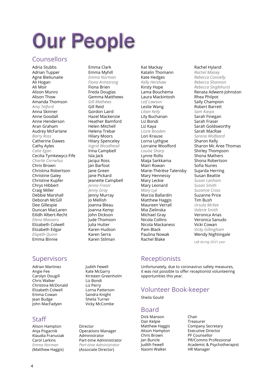## Our People

#### Counsellors

Adria Stubbs Adrian Tupper Agne Bieliunaite Ali Hogan Ali Moir Alison Munro Alison Thow Amanda Thomson *Amy Telford* Anna Skinner Anne Goodall Anne Henderson Aran Graham Audrey McFarlane *Barry Ross* Catherine Dawes Cathy Ayles *Catie Egan* Cecilia Tymkewycz-Fife *Charlie Cornelius* Chris Brown Christina Robertson Christine Galey Christine Kupfer Chrys Hibbert Craig Miller Debbie Marshall Deborah McGill Dee Gillespie Duncan MacLaren Eilidh Albert-Recht *Elena Masoero* Elizabeth Colwell Elizabeth Edgar *Elspeth Quinn* Emma Binnie

#### **Supervisors**

Adrian Martinez Angie Fee Carolyn Dougill Chris Walker Christina McDonald Elizabeth Colwell Emma Cowan Jean Budge John MacFadyen

#### **Staff**

Alison Hampton Director Klaudia Franusiak **Carol Larkins Part-time Administrator**<br> *Part-time Administrator*<br> *Part-time Administrator Emma Norman Part-time Administrator*

#### Emma Clark Emma Myhill *Emma Norman Fiona Armstrong* Fiona Brien Freda Douglas Gemma Matthews *Gill Mathews* Gill Reid Gordon Laird Hazel Mackenzie Heather Bamford Helen Mitchell Helena Trebar Hilary Moors Hilary Spenceley *Ingrid Woodhead* Irina Campbell Isla Jack Jacqui Ross Jan Barfoot Jane Green Jane Pickard Jeanette Campbell *Jenna Fraser Jenny Gray* Jenny Murray Jo Mellish Joanna Bleau Joanna Kemp John Dickson Jude Thomson Julia Hutter Karen Hudson Karen Serra Karen Stilman

**Operations Manager<br>Administrator** 

Judith Fewell Kate McGarry Kirsteen Greenholm

Liz Bondi Liz Perry Lorna Patterson Sandra Knight Sheila Turner Vicky McCombe

(Associate Director)

Kat Mackay Katalin Thomann Kate Hedges *Kelly Hershaw* Kirsty Hope Lama Bouchema Laura Mackintosh *Leif Lawson* Leslie Wang *Lilian Kelly* Lily Buchanan Liz Bondi Liz Kaya *Lizzie Booden* Lori Krause Lorna Lythgoe Lorraine Woolford *Louise Sharp* Lynne Rollo Maija Sarkkama Mairi Rowan Marie-Thérèse Talensby Mary Hennessy Mary Leckie Mary Leonard *Mary Lye* Marzia Ballardin Matthew Haggis Maureen Verrall Mia Zielinska Michael Gray Nicola Collins Nicola Mackaness Pam Black Paulina Nowak

#### Rachel Hyland

*Rachel Maisey Rebecca Connelly Rebecca Shannon Rebecca Singlehurst* Renata Adwent-Johnston Rhea Philpot Sally Champion Robert Barrett *Sam Karpa* Sarah Finegan Sarah Fraser Sarah Goldsworthy Sarah MacRae *Sarena Wolfaard* Sharon Kelly Sharon Mc Aree Thomas Shirley Thompson Shona Mathers Shona Robertson Sofia Nunes Sujarda Herring Susan Beattie *Susan Lanham Susan Smith Suzanne Cross* Suzanne Price Tim Bush *Ursula McKee Valerie Smith* Veronica Arias Veronica Sanudo Vicki Cowan *Vicky Gillingham*

Wendy Nightingale

*Left during 20/21 year*

#### Receptionists

Rachel Blake

Unfortunately, due to coronavirus safety measures, it was not possible to offer receptionist volunteering opportunities this year.

#### Volunteer Book-keeper

Sheila Gould

#### Board

Dick Manson Chair Dan Kelpie Chris Brown PF Counsellor Naomi Walker **HR Manager** 

Matthew Haggis **Company Secretary<br>Alison Hampton Benerative Director** Executive Director Jan Buncle **PR/Comms Professional**<br>Judith Fewell **Academic & Psychothera** Academic & Psychotherapist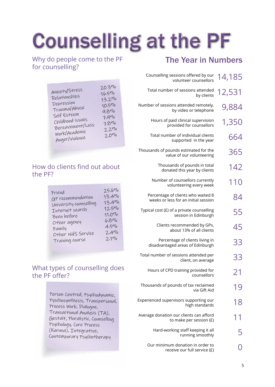# Counselling at the PF

Why do people come to the PF for counselling?

| 20.390<br>Anxiety/Stress<br>16.590<br>Relationships<br>13.290<br>Depression<br>$10.5\%$<br>Trauma/Abuse<br>9.890<br>Self Esteem<br>7.990<br>Childhood issues<br>7.890<br>Bereavement/Loss<br>2.290<br>Work/Academic<br>$2.0\%$<br>Anger/violence |  |
|--------------------------------------------------------------------------------------------------------------------------------------------------------------------------------------------------------------------------------------------------|--|
|--------------------------------------------------------------------------------------------------------------------------------------------------------------------------------------------------------------------------------------------------|--|

#### How do clients find out about the PF?

#### What types of counselling does the PF offer?

Person Centred, Psychodynamic, Pyschosynthesis, Transpersonal, Process Work, Dialogue, Transactional Analysis (TA), Gestalt, Pluralistic, Counselling Psychology, Core Process (Karuna), Integrative, Contemporary Psychotherapy

### The Year in Numbers

| 14,185 | Counselling sessions offered by our<br>volunteer counsellors               |
|--------|----------------------------------------------------------------------------|
| 12,531 | Total number of sessions attended<br>by clients                            |
| 9,884  | Number of sessions attended remotely,<br>by video or telephone             |
| 1,350  | Hours of paid clinical supervision<br>provided for counsellors             |
| 664    | Total number of individual clients<br>supported in the year                |
| 365    | Thousands of pounds estimated for the<br>value of our volunteering         |
| 142    | Thousands of pounds in total<br>donated this year by clients               |
| 110    | Number of counsellors currently<br>volunteering every week                 |
| 84     | Percentage of clients who waited 8<br>weeks or less for an initial session |
| 55     | Typical cost (£) of a private counselling<br>session in Edinburgh          |
| 45     | Clients recommended by GPs,<br>about 13% of all clients                    |
| 33     | Percentage of clients living in<br>disadvantaged areas of Edinburgh        |
| 33     | Total number of sessions attended per<br>client, on average                |
| 21     | Hours of CPD training provided for<br>counsellors                          |
|        | Thousands of pounds of tax reclaimed<br>via Gift Aid                       |
| 18     | Experienced supervisors supporting our<br>high standards                   |
|        | Average donation our clients can afford<br>to make per session (£)         |
|        | Hard-working staff keeping it all<br>running smoothly                      |
|        | Our minimum donation in order to<br>receive our full service (£)           |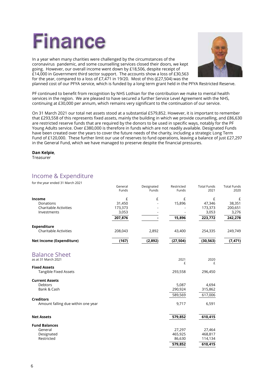

In a year when many charities were challenged by the circumstances of the coronavirus pandemic, and some counselling services closed their doors, we kept going. However, our overall income went down by £18,506, despite receipt of £14,000 in Government third sector support. The accounts show a loss of £30,563 for the year, compared to a loss of £7,471 in 19/20. Most of this (£27,504) was the



planned cost of our PFYA service, which is funded by a long term grant held in the PFYA Restricted Reserve.

PF continued to benefit from recognition by NHS Lothian for the contribution we make to mental health services in the region. We are pleased to have secured a further Service Level Agreement with the NHS, continuing at £30,000 per annum, which remains very significant to the continuation of our service.

On 31 March 2021 our total net assets stood at a substantial £579,852. However, it is important to remember that £293,558 of this represents fixed assets, mainly the building in which we provide counselling, and £86,630 are restricted reserve funds that are required by the donors to be used in specific ways, notably for the PF Young Adults service. Over £380,000 is therefore in funds which are not readily available. Designated Funds have been created over the years to cover the future needs of the charity, including a strategic Long Term Fund of £120,000. These further limit our use of reserves to fund operations, leaving a balance of just £27,297 in the General Fund, which we have managed to preserve despite the financial pressures.

#### **Dan Kelpie**,

**Treasurer** 

#### Income & Expenditure

for the year ended 31 March 2021

|                                                        | General<br>Funds | Designated<br>Funds | Restricted<br>Funds | <b>Total Funds</b><br>2021 | <b>Total Funds</b><br>2020 |
|--------------------------------------------------------|------------------|---------------------|---------------------|----------------------------|----------------------------|
| Income                                                 | £                | £                   | £                   | £                          | £                          |
| Donations                                              | 31,450           |                     | 15,896              | 47,346                     | 38,351                     |
| <b>Charitable Activities</b>                           | 173,373          |                     |                     | 173,373                    | 200,651                    |
| Investments                                            | 3,053            |                     |                     | 3,053                      | 3,276                      |
|                                                        | 207,876          |                     | 15,896              | 223,772                    | 242,278                    |
| <b>Expenditure</b>                                     |                  |                     |                     |                            |                            |
| <b>Charitable Activities</b>                           | 208,043          | 2,892               | 43,400              | 254,335                    | 249,749                    |
| Net Income (Expenditure)                               | (167)            | (2,892)             | (27, 504)           | (30, 563)                  | (7, 471)                   |
| <b>Balance Sheet</b>                                   |                  |                     |                     |                            |                            |
| as at 31 March 2021                                    |                  |                     | 2021<br>£           | 2020<br>£                  |                            |
| <b>Fixed Assets</b>                                    |                  |                     |                     |                            |                            |
| Tangible Fixed Assets                                  |                  |                     | 293,558             | 296,450                    |                            |
| <b>Current Assets</b>                                  |                  |                     |                     |                            |                            |
| <b>Debtors</b>                                         |                  |                     | 5,087               | 4,694                      |                            |
| Bank & Cash                                            |                  |                     | 290,924             | 315,862                    |                            |
|                                                        |                  |                     | 589,569             | 617,006                    |                            |
| <b>Creditors</b><br>Amount falling due within one year |                  |                     | 9,717               | 6,591                      |                            |
|                                                        |                  |                     |                     |                            |                            |
| <b>Net Assets</b>                                      |                  |                     | 579,852             | 610,415                    |                            |
| <b>Fund Balances</b>                                   |                  |                     |                     |                            |                            |
| General                                                |                  |                     | 27,297              | 27,464                     |                            |
| Designated                                             |                  |                     | 465,925             | 468,817                    |                            |
| Restricted                                             |                  |                     | 86,630              | 114,134                    |                            |
|                                                        |                  |                     | 579,852             | 610,415                    |                            |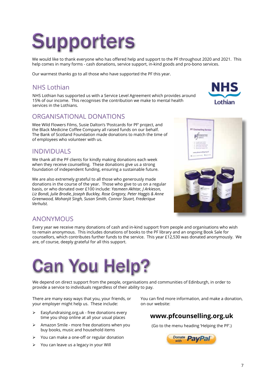### **Supporters**

We would like to thank everyone who has offered help and support to the PF throughout 2020 and 2021. This help comes in many forms - cash donations, service support, in-kind goods and pro-bono services.

Our warmest thanks go to all those who have supported the PF this year.

#### NHS Lothian

NHS Lothian has supported us with a Service Level Agreement which provides around 15% of our income. This recognises the contribution we make to mental health services in the Lothians.

#### ORGANISATIONAL DONATIONS

Wee Wild Flowers Films, Susie Dalton's 'Postcards for PF' project, and the Black Medicine Coffee Company all raised funds on our behalf. The Bank of Scotland Foundation made donations to match the time of of employees who volunteer with us.

#### INDIVIDUALS

We thank all the PF clients for kindly making donations each week when they receive counselling. These donations give us a strong foundation of independent funding, ensuring a sustainable future.

We are also extremely grateful to all those who generously made donations in the course of the year. Those who give to us on a regular basis, or who donated over £100 include: *Yasmeen Akhtar, J Arkieson, Liz Bondi, Julie Brodie, Joseph Buckley, Rose Gregory, Peter Haggis & Anne Greenwood, Mohanjit Singh, Susan Smith, Connor Stuart, Frederique Verhulst.*



Lothian

#### ANONYMOUS

Every year we receive many donations of cash and in-kind support from people and organisations who wish to remain anonymous. This includes donations of books to the PF library and an ongoing Book Sale for counsellors, which contributes further funds to the service. This year £12,530 was donated anonymously. We are, of course, deeply grateful for all this support.

### Can You Help?

We depend on direct support from the people, organisations and communities of Edinburgh, in order to provide a service to individuals regardless of their ability to pay.

There are many easy ways that you, your friends, or your employer might help us. These include:

- $\triangleright$  Easyfundraising.org.uk free donations every time you shop online at all your usual places
- ¾ Amazon Smile more free donations when you buy books, music and household items
- ¾ You can make a one-off or regular donation
- $\triangleright$  You can leave us a legacy in your Will

You can find more information, and make a donation, on our website:

#### **www.pfcounselling.org.uk**

(Go to the menu heading 'Helping the PF'.)

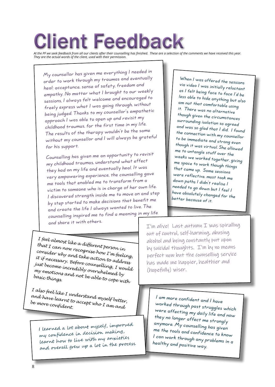### Client Feedback

*At the PF we seek feedback from all our clients after their counselling has finished. These are a selection of the comments we have received this year. They are the actual words of the client, used with their permission.*

My counsellor has given me everything I needed in order to work through my traumas and eventually heal: acceptance, sense of safety, freedom and empathy. No matter what I brought to our weekly sessions, I always felt welcome and encouraged to freely express what I was going through, without being judged. Thanks to my counsellor's empathetic approach I was able to open up and revisit my childhood traumas, for the first time in my life. The results of the therapy wouldn't be the same without my counsellor and I will always be grateful for his support.

Counselling has given me an opportunity to revisit my childhood traumas, understand what effect they had on my life and eventually heal. It was very empowering experience, the counselling gave me tools that enabled me to transform from a victim to someone who is in charge of her own life. I discovered strength inside me to move on and step by step started to make decisions that benefit me and create the life I always wanted to live. The counselling inspired me to find a meaning in my life and share it with others.

When I was offered the sessions via video I was initially reluctant as I felt being face to face I'd be less able to hide anything but also am not that comfortable using it. There was no alternative though given the circumstances surrounding isolation so agreed and was so glad that I did. I found the connection with my counsellor to be immediate and strong even though it was virtual. She allowed me to untangle stuff over the weeks we worked together, giving me space to work though things that came up. Some sessions were reflective, most took me down paths I didn't realise I needed to go down but I feel I have absolutely changed for the better because of it.

*I feel almost like a different person in that I can now recognise how I'm feeling, consider why and take action to address it if necessary. Before counselling, I would just become incredibly overwhelmed by my emotions and not be able to cope with basic things.*

*I also feel like I understand myself better, and have learnt to accept who I am and be more confident.*

I learned a lot about myself, improved my confidence in decision making, learnt how to live with my anxieties and overall grew up a lot in the process. I'm alive! Last autumn I was spiralling out of control, self-harming, abusing alcohol and being constantly put upon by suicidal thoughts. I'm by no means perfect now but the counselling service has made me happier, healthier and (hopefully) wiser.

I am more confident and I have worked through past struggles which were affecting my daily life and now they no longer affect me strongly anymore. My counselling has given me the tools and confidence to know I can work through any problems in a healthy and positive way.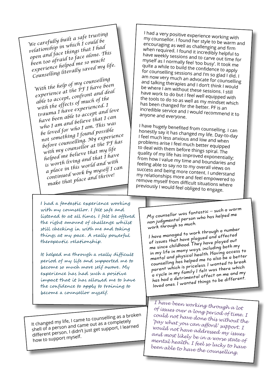*We carefully built a safe trusting relationship in which I could be open and face things that I had been too afraid to face alone. This experience helped me so much! Counselling literally saved my life.*

*With the help of my counselling experience at the PF I have been able to accept, confront and deal with the effects of much of the trauma I have experienced. I have been able to accept and love who I am and believe that I can be loved for who I am. This was not something I found possible before counselling. My experience with my counsellor at the PF has helped me believe that my life is worth living and that I have a place in this world and with continued work by myself I can make that place and thrive!*

I had a very positive experience working with my counsellor. I found her style to be warm and encouraging as well as challenging and firm when required. I found it incredibly helpful to have weekly sessions and to carve out time for myself as I normally feel 'too busy'. It took me quite a while to build the confidence to apply for counselling sessions and I'm so glad I did. I am now very much an advocate for counselling and talking therapies and I don't think I would be where I am without these sessions. I still have work to do but I feel well equipped with the tools to do so as well as my mindset which has been changed for the better. PF is an incredible service and I would recommend it to anyone and everyone.

I have hugely benefited from counselling. I can honestly say it has changed my life. Day-to-day I feel much less anxious and low and when problems arise I feel much better equipped to deal with them before things spiral. The quality of my life has improved exponentially; from how I value my time and boundaries and feeling able to say no to my overall views on success and being more content. I understand my relationships more and feel empowered to remove myself from difficult situations where previously I would feel obliged to engage.

I had a fantastic experience working with my counsellor. I felt safe and listened to at all times. I felt he offered the right amount of challenge whilst still checking in with me and taking things at my pace. A really powerful therapeutic relationship.

It helped me through a really difficult period of my life and supported me to become so much more self aware. My experience has had such a positive impact that it has allowed me to have the confidence to apply to training to become a counsellor myself.

It changed my life, I came to counselling as a broken shell of a person and came out as a completely different person. I didn't just get support, I learne<sup>d</sup> how to support myself.

My counsellor was fantastic – such a warm non judgmental person who has helped me work through so much.

I have managed to work through a number of issues that have plagued and affecte<sup>d</sup> me since childhood. They have played out in my life in many ways, including both my mental and physical health. Having access to counselling has helped me to also be a better parent which is priceless. I wanted to brea<sup>k</sup> a cycle in my family I felt was there which has had a detrimental affect on me and my loved ones. I wanted things to be different.

*I have been working through a lot of issues over a long period of time. I could not have done this without the 'pay what you can afford' support. I would not have addressed my issues and most likely be in a worse state of mental health. I feel so lucky to have been able to have the counselling.*